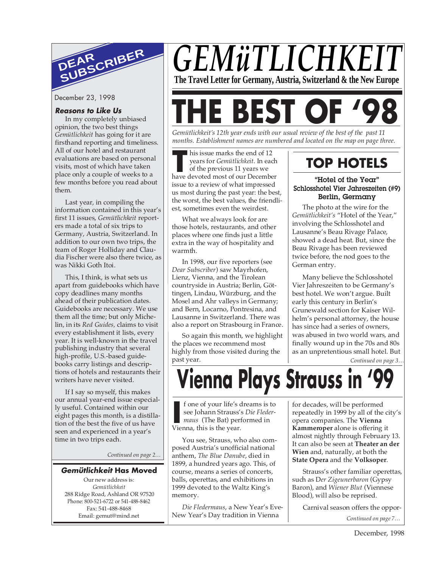

December 23, 1998

#### **Reasons to Like Us**

In my completely unbiased opinion, the two best things *Gemütlichkeit* has going for it are firsthand reporting and timeliness. All of our hotel and restaurant evaluations are based on personal visits, most of which have taken place only a couple of weeks to a few months before you read about them.

Last year, in compiling the information contained in this year's first 11 issues, *Gemütlichkeit* reporters made a total of six trips to Germany, Austria, Switzerland. In addition to our own two trips, the team of Roger Holliday and Claudia Fischer were also there twice, as was Nikki Goth Itoi.

This, I think, is what sets us apart from guidebooks which have copy deadlines many months ahead of their publication dates. Guidebooks are necessary. We use them all the time; but only Michelin, in its *Red Guides,* claims to visit every establishment it lists, every year. It is well-known in the travel publishing industry that several high-profile, U.S.-based guidebooks carry listings and descriptions of hotels and restaurants their writers have never visited.

If I say so myself, this makes our annual year-end issue especially useful. Contained within our eight pages this month, is a distillation of the best the five of us have seen and experienced in a year's time in two trips each.

*Continued on page 2…*

#### **Gemütlichkeit Has Moved**

Our new address is: *Gemütlichkeit* 288 Ridge Road, Ashland OR 97520 Phone: 800-521-6722 or 541-488-8462 Fax: 541-488-8468 Email: gemut@mind.net

## GEMüTLICHKE **The Travel Letter for Germany, Austria, Switzerland & the New Europe**

# **E BEST O**

*Gemütlichkeit's 12th year ends with our usual review of the best of the past 11 months. Establishment names are numbered and located on the map on page three.*

his issue marks the end of 12 years for *Gemütlichkeit*. In each

his issue marks the end of 12<br>
years for *Gemütlichkeit*. In each<br>
of the previous 11 years we<br>
have devoted most of our December of the previous 11 years we issue to a review of what impressed us most during the past year: the best, the worst, the best values, the friendliest, sometimes even the weirdest.

What we always look for are those hotels, restaurants, and other places where one finds just a little extra in the way of hospitality and warmth.

In 1998, our five reporters (see *Dear Subscriber*) saw Mayrhofen, Lienz, Vienna, and the Tirolean countryside in Austria; Berlin, Göttingen, Lindau, Würzburg, and the Mosel and Ahr valleys in Germany; and Bern, Locarno, Pontresina, and Lausanne in Switzerland. There was also a report on Strasbourg in France.

So again this month, we highlight the places we recommend most highly from those visited during the past year.

## **TOP HOTELS**

#### "Hotel of the Year" Schlosshotel Vier Jahreszeiten (#9) Berlin, Germany

The photo at the wire for the *Gemütlichkeit's* "Hotel of the Year," involving the Schlosshotel and Lausanne's Beau Rivage Palace, showed a dead heat. But, since the Beau Rivage has been reviewed twice before, the nod goes to the German entry.

Many believe the Schlosshotel Vier Jahreszeiten to be Germany's best hotel. We won't argue. Built early this century in Berlin's Grunewald section for Kaiser Wilhelm's personal attorney, the house has since had a series of owners, was abused in two world wars, and finally wound up in the 70s and 80s as an unpretentious small hotel. But

*Continued on page 3…*

## **Vienna Plays Strauss in '99**

f one of your life's dreams is to see Johann Strauss's *Die Fledermaus* (The Bat) performed in **I** f one of your life's come see Johann Strauss' may (The Bat) per Vienna, this is the year.

You see, Strauss, who also composed Austria's unofficial national anthem, *The Blue Danube*, died in 1899, a hundred years ago. This, of course, means a series of concerts, balls, operettas, and exhibitions in 1999 devoted to the Waltz King's memory.

*Die Fledermaus*, a New Year's Eve-New Year's Day tradition in Vienna

for decades, will be performed repeatedly in 1999 by all of the city's opera companies. The **Vienna Kammeroper** alone is offering it almost nightly through February 13. It can also be seen at **Theater an der Wien** and, naturally, at both the **State Opera** and the **Volksoper**.

Strauss's other familiar operettas, such as D*er Zigeunerbaron* (Gypsy Baron), and *Wiener Blut* (Viennese Blood), will also be reprised.

Carnival season offers the oppor-

*Continued on page 7…*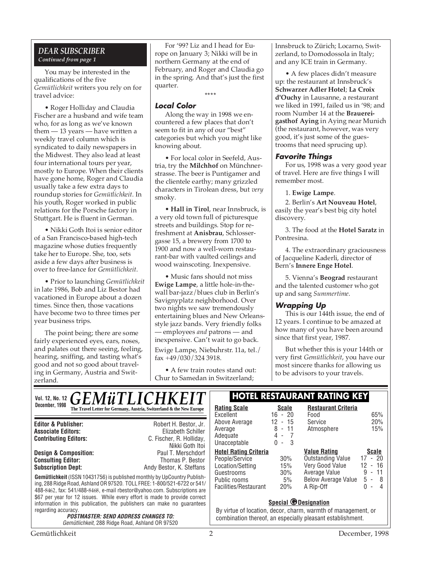#### *DEAR SUBSCRIBER Continued from page 1*

You may be interested in the qualifications of the five *Gemütlichkeit* writers you rely on for travel advice:

• Roger Holliday and Claudia Fischer are a husband and wife team who, for as long as we've known them — 13 years — have written a weekly travel column which is syndicated to daily newspapers in the Midwest. They also lead at least four international tours per year, mostly to Europe. When their clients have gone home, Roger and Claudia usually take a few extra days to roundup stories for *Gemütlichkeit*. In his youth, Roger worked in public relations for the Porsche factory in Stuttgart. He is fluent in German.

• Nikki Goth Itoi is senior editor of a San Francisco-based high-tech magazine whose duties frequently take her to Europe. She, too, sets aside a few days after business is over to free-lance for *Gemütlichkeit*.

• Prior to launching *Gemütlichkeit* in late 1986, Bob and Liz Bestor had vacationed in Europe about a dozen times. Since then, those vacations have become two to three times per year business trips.

The point being; there are some fairly experienced eyes, ears, noses, and palates out there seeing, feeling, hearing, sniffing, and tasting what's good and not so good about traveling in Germany, Austria and Switzerland.

For '99? Liz and I head for Europe on January 3; Nikki will be in northern Germany at the end of February, and Roger and Claudia go in the spring. And that's just the first quarter.

**\*\*\*\***

#### **Local Color**

Along the way in 1998 we encountered a few places that don't seem to fit in any of our "best" categories but which you might like knowing about.

• For local color in Seefeld, Austria, try the **Milchhof** on Münchnerstrasse. The beer is Puntigamer and the clientele earthy; many grizzled characters in Tirolean dress, but *very* smoky.

• **Hall in Tirol**, near Innsbruck, is a very old town full of picturesque streets and buildings. Stop for refreshment at **Anisbrau**, Schlossergasse 15, a brewery from 1700 to 1900 and now a well-worn restaurant-bar with vaulted ceilings and wood wainscoting. Inexpensive.

• Music fans should not miss **Ewige Lampe**, a little hole-in-thewall bar-jazz/blues club in Berlin's Savignyplatz neighborhood. Over two nights we saw tremendously entertaining blues and New Orleansstyle jazz bands. Very friendly folks — employees *and* patrons — and inexpensive. Can't wait to go back.

Ewige Lampe, Niebuhrstr. 11a, tel./ fax +49/030/324 3918.

• A few train routes stand out: Chur to Samedan in Switzerland;

Innsbruck to Zürich; Locarno, Switzerland, to Domodossola in Italy; and any ICE train in Germany.

• A few places didn't measure up: the restaurant at Innsbruck's **Schwarzer Adler Hotel**; **La Croix d'Ouchy** in Lausanne, a restaurant we liked in 1991, failed us in '98; and room Number 14 at the **Brauereigasthof Aying** in Aying near Munich (the restaurant, however, was very good, it's just some of the guestrooms that need sprucing up).

#### **Favorite Things**

For us, 1998 was a very good year of travel. Here are five things I will remember most.

1. **Ewige Lampe**.

2. Berlin's **Art Nouveau Hotel**, easily the year's best big city hotel discovery.

3. The food at the **Hotel Saratz** in Pontresina.

4. The extraordinary graciousness of Jacqueline Kaderli, director of Bern's **Innere Enge Hotel**.

5. Vienna's **Beograd** restaurant and the talented customer who got up and sang *Summertime*.

#### **Wrapping Up**

This is our 144th issue, the end of 12 years. I continue to be amazed at how many of you have been around since that first year, 1987.

But whether this is your 144th or very first *Gemütlichkeit*, you have our most sincere thanks for allowing us to be advisors to your travels.

**Gemütlichkeit** (ISSN 10431756) is published monthly by UpCountry Publishing, 288 Ridge Road, Ashland OR 97520. TOLL FREE: 1-800/521-6722 or 541/ 488-8462, fax: 541/488-8468, e-mail rbestor@yahoo.com. Subscriptions are \$67 per year for 12 issues. While every effort is made to provide correct information in this publication, the publishers can make no guarantees regarding accuracy. **POSTMASTER: SEND ADDRESS CHANGES TO:** Gemütlichkeit, 288 Ridge Road, Ashland OR 97520 **Editor & Publisher:** Robert H. Bestor, Jr. **Associate Editors:** Elizabeth Schiller **Contributing Editors:** C. Fischer, R. Holliday, Nikki Goth Itoi<br>Paul T. Merschdorf **Design & Composition:** Paul T. Merschdorf **Consulting Editor: Subscription Dept:** Andy Bestor, K. Steffans **Vol. 12, No. 12 HOTEL RESTAURANT RATING KEY** *GEMüTLICHKEIT* **December, 1998 Rating Scale Rating Scale Scale Rating Scale Rating Scale Scale Scale Rating Scale Scale** Excellent 16 - 20<br>Above Average 12 - 15 Above Average Average  $8 - 11$ Adequate  $\begin{array}{ccc} 4 & - & 7 \\ - & 7 & - \\ 0 & - & 3 \end{array}$ Unacceptable **Hotel Rating Criteria** People/Service 30%<br>Location/Setting 15% Location/Setting 15% Guestrooms Public rooms 5%<br>Facilities/Restaurant 20% Facilities/Restaurant **Restaurant Criteria** Food 65%<br>Service 20% Service 20%<br>Atmosphere 15% Atmosphere **<u>Value Rating</u>**<br>
Outstanding Value 17 - 20 Outstanding Value 17 - 20<br>Very Good Value 12 - 16 Very Good Value 12 - 16 Average Value 9 - 11<br>Below Average Value 5 - 8 Below Average Value 5 -<br>A Rip-Off 0 -A Rip-Off 0 - 4  $\mathbb{L}$ **Special @Designation** By virtue of location, decor, charm, warmth of management, or combination thereof, an especially pleasant establishment.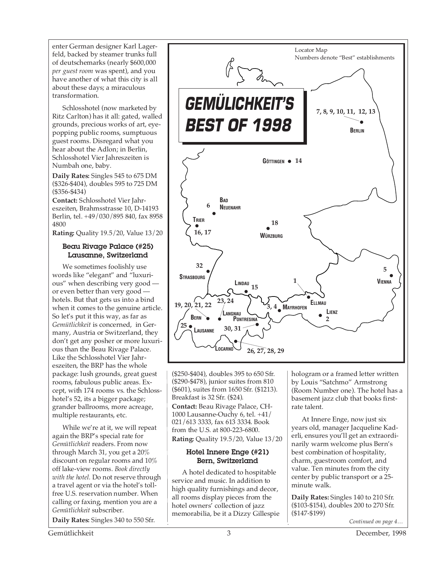enter German designer Karl Lagerfeld, backed by steamer trunks full of deutschemarks (nearly \$600,000 *per guest room* was spent), and you have another of what this city is all about these days; a miraculous transformation.

Schlosshotel (now marketed by Ritz Carlton) has it all: gated, walled grounds, precious works of art, eyepopping public rooms, sumptuous guest rooms. Disregard what you hear about the Adlon; in Berlin, Schlosshotel Vier Jahreszeiten is Numbah one, baby.

**Daily Rates:** Singles 545 to 675 DM (\$326-\$404), doubles 595 to 725 DM (\$356-\$434)

**Contact:** Schlosshotel Vier Jahreszeiten, Brahmsstrasse 10, D-14193 Berlin, tel. +49/030/895 840, fax 8958 4800

**Rating:** Quality 19.5/20, Value 13/20

#### Beau Rivage Palace (#25) Lausanne, Switzerland

We sometimes foolishly use words like "elegant" and "luxurious" when describing very good or even better than very good hotels. But that gets us into a bind when it comes to the genuine article. So let's put it this way, as far as *Gemütlichkeit* is concerned, in Germany, Austria or Switzerland, they don't get any posher or more luxurious than the Beau Rivage Palace. Like the Schlosshotel Vier Jahreszeiten, the BRP has the whole package: lush grounds, great guest rooms, fabulous public areas. Except, with 174 rooms vs. the Schlosshotel's 52, its a bigger package; grander ballrooms, more acreage, multiple restaurants, etc.

While we're at it, we will repeat again the BRP's special rate for *Gemütlichkeit* readers. From now through March 31, you get a 20% discount on regular rooms and 10% off lake-view rooms. *Book directly with the hotel.* Do not reserve through a travel agent or via the hotel's tollfree U.S. reservation number. When calling or faxing, mention you are a *Gemütlichkeit* subscriber.

**Daily Rates:** Singles 340 to 550 Sfr.



(\$250-\$404), doubles 395 to 650 Sfr. (\$290-\$478), junior suites from 810 (\$601), suites from 1650 Sfr. (\$1213). Breakfast is 32 Sfr. (\$24).

**Contact:** Beau Rivage Palace, CH-1000 Lausanne-Ouchy 6, tel. +41/ 021/613 3333, fax 613 3334. Book from the U.S. at 800-223-6800. **Rating:** Quality 19.5/20, Value 13/20

#### Hotel Innere Enge (#21) Bern, Switzerland

A hotel dedicated to hospitable service and music. In addition to high quality furnishings and decor, all rooms display pieces from the hotel owners' collection of jazz memorabilia, be it a Dizzy Gillespie hologram or a framed letter written by Louis "Satchmo" Armstrong (Room Number one). The hotel has a basement jazz club that books firstrate talent.

At Innere Enge, now just six years old, manager Jacqueline Kaderli, ensures you'll get an extraordinarily warm welcome plus Bern's best combination of hospitality, charm, guestroom comfort, and value. Ten minutes from the city center by public transport or a 25 minute walk.

**Daily Rates:** Singles 140 to 210 Sfr. (\$103-\$154), doubles 200 to 270 Sfr. (\$147-\$199)

*Continued on page 4…*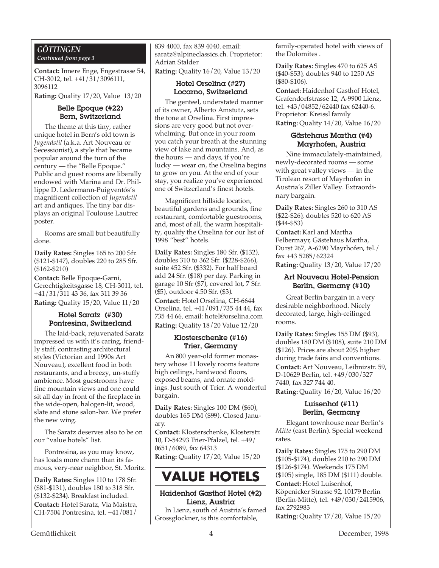#### *GÖTTINGEN Continued from page 3*

**Contact:** Innere Enge, Engestrasse 54, CH-3012, tel. +41/31/3096111, 3096112

**Rating:** Quality 17/20, Value 13/20

#### Belle Epoque (#22) Bern, Switzerland

The theme at this tiny, rather unique hotel in Bern's old town is *Jugendstil* (a.k.a. Art Nouveau or Secessionist), a style that became popular around the turn of the century — the "Belle Epoque." Public and guest rooms are liberally endowed with Marina and Dr. Phillippe D. Ledermann-Puigventós's magnificent collection of *Jugendstil* art and antiques. The tiny bar displays an original Toulouse Lautrec poster.

Rooms are small but beautifully done.

**Daily Rates:** Singles 165 to 200 Sfr. (\$121-\$147), doubles 220 to 285 Sfr. (\$162-\$210)

**Contact:** Belle Epoque-Garni, Gerechtigkeitsgasse 18, CH-3011, tel. +41/31/311 43 36, fax 311 39 36 **Rating:** Quality 15/20, Value 11/20

#### Hotel Saratz (#30) Pontresina, Switzerland

The laid-back, rejuvenated Saratz impressed us with it's caring, friendly staff, contrasting architectural styles (Victorian and 1990s Art Nouveau), excellent food in both restaurants, and a breezy, un-stuffy ambience. Most guestrooms have fine mountain views and one could sit all day in front of the fireplace in the wide-open, halogen-lit, wood, slate and stone salon-bar. We prefer the new wing.

The Saratz deserves also to be on our "value hotels" list.

Pontresina, as you may know, has loads more charm than its famous, very-near neighbor, St. Moritz.

**Daily Rates:** Singles 110 to 178 Sfr. (\$81-\$131), doubles 180 to 318 Sfr. (\$132-\$234). Breakfast included. **Contact:** Hotel Saratz, Via Maistra, CH-7504 Pontresina, tel. +41/081/

839 4000, fax 839 4040. email: saratz@alpineclassics.ch. Proprietor: Adrian Stalder

**Rating:** Quality 16/20, Value 13/20

#### Hotel Orselina (#27) Locarno, Switzerland

The genteel, understated manner of its owner, Alberto Amstutz, sets the tone at Orselina. First impressions are very good but not overwhelming. But once in your room you catch your breath at the stunning view of lake and mountains. And, as the hours — and days, if you're lucky — wear on, the Orselina begins to grow on you. At the end of your stay, you realize you've experienced one of Switzerland's finest hotels.

Magnificent hillside location, beautiful gardens and grounds, fine restaurant, comfortable guestrooms, and, most of all, the warm hospitality, qualify the Orselina for our list of 1998 "best" hotels.

**Daily Rates:** Singles 180 Sfr. (\$132), doubles 310 to 362 Sfr. (\$228-\$266), suite 452 Sfr. (\$332). For half board add 24 Sfr. (\$18) per day. Parking in garage 10 Sfr (\$7), covered lot, 7 Sfr. (\$5), outdoor 4.50 Sfr. (\$3).

**Contact:** Hotel Orselina, CH-6644 Orselina, tel. +41/091/735 44 44, fax 735 44 66, email: hotel@orselina.com **Rating:** Quality 18/20 Value 12/20

#### Klosterschenke (#16) Trier, Germany

An 800 year-old former monastery whose 11 lovely rooms feature high ceilings, hardwood floors, exposed beams, and ornate moldings. Just south of Trier. A wonderful bargain.

**Daily Rates:** Singles 100 DM (\$60), doubles 165 DM (\$99). Closed January.

**Contact:** Klosterschenke, Klosterstr. 10, D-54293 Trier-Pfalzel, tel. +49/ 0651/6089, fax 64313

**Rating:** Quality 17/20, Value 15/20

## **VALUE HOTELS**

#### Haidenhof Gasthof Hotel (#2) Lienz, Austria

In Lienz, south of Austria's famed Grossglockner, is this comfortable,

family-operated hotel with views of the Dolomites .

**Daily Rates:** Singles 470 to 625 AS (\$40-\$53), doubles 940 to 1250 AS (\$80-\$106).

**Contact:** Haidenhof Gasthof Hotel, Grafendorfstrasse 12, A-9900 Lienz, tel. +43/04852/62440 fax 62440-6. Proprietor: Kreissl family **Rating:** Quality 14/20, Value 16/20

#### Gästehaus Martha (#4) Mayrhofen, Austria

Nine immaculately-maintained, newly-decorated rooms — some with great valley views — in the Tirolean resort of Mayrhofen in Austria's Ziller Valley. Extraordinary bargain.

**Daily Rates:** Singles 260 to 310 AS (\$22-\$26), doubles 520 to 620 AS (\$44-\$53)

**Contact:** Karl and Martha Felbermayr, Gästehaus Martha, Durst 267, A-6290 Mayrhofen, tel./ fax +43 5285/62324

**Rating:** Quality 13/20, Value 17/20

#### Art Nouveau Hotel-Pension Berlin, Germany (#10)

Great Berlin bargain in a very desirable neighborhood. Nicely decorated, large, high-ceilinged rooms.

**Daily Rates:** Singles 155 DM (\$93), doubles 180 DM (\$108), suite 210 DM (\$126). Prices are about 20% higher during trade fairs and conventions. **Contact:** Art Nouveau, Leibnizstr. 59, D-10629 Berlin, tel. +49/030/327 7440, fax 327 744 40. **Rating:** Quality 16/20, Value 16/20

#### Luisenhof (#11) Berlin, Germany

Elegant townhouse near Berlin's *Mitte* (east Berlin). Special weekend rates.

**Daily Rates:** Singles 175 to 290 DM (\$105-\$174), doubles 210 to 290 DM (\$126-\$174). Weekends 175 DM (\$105) single, 185 DM (\$111) double. **Contact:** Hotel Luisenhof, Köpenicker Strasse 92, 10179 Berlin (Berlin-Mitte), tel. +49/030/2415906, fax 2792983

**Rating:** Quality 17/20, Value 15/20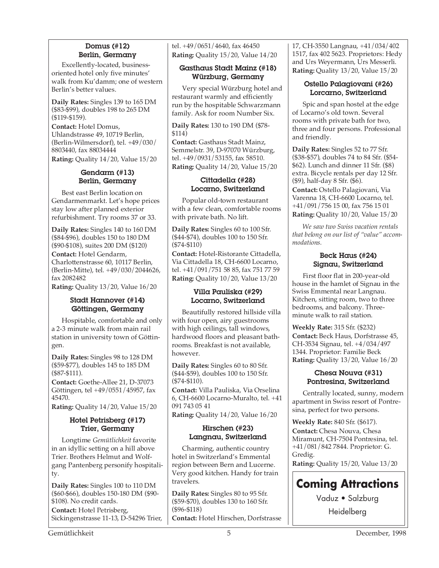#### Domus (#12) Berlin, Germany

Excellently-located, businessoriented hotel only five minutes' walk from Ku'damm; one of western Berlin's better values.

**Daily Rates:** Singles 139 to 165 DM (\$83-\$99), doubles 198 to 265 DM (\$119-\$159).

**Contact:** Hotel Domus, Uhlandstrasse 49, 10719 Berlin, (Berlin-Wilmersdorf), tel. +49/030/ 8803440, fax 88034444

**Rating:** Quality 14/20, Value 15/20

#### Gendarm (#13) Berlin, Germany

Best east Berlin location on Gendarmenmarkt. Let's hope prices stay low after planned exterior refurbishment. Try rooms 37 or 33.

**Daily Rates:** Singles 140 to 160 DM (\$84-\$96), doubles 150 to 180 DM (\$90-\$108), suites 200 DM (\$120) **Contact:** Hotel Gendarm, Charlottenstrasse 60, 10117 Berlin, (Berlin-Mitte), tel. +49/030/2044626, fax 2082482

**Rating:** Quality 13/20, Value 16/20

#### Stadt Hannover (#14) Göttingen, Germany

Hospitable, comfortable and only a 2-3 minute walk from main rail station in university town of Göttingen.

**Daily Rates:** Singles 98 to 128 DM (\$59-\$77), doubles 145 to 185 DM (\$87-\$111).

**Contact:** Goethe-Allee 21, D-37073 Göttingen, tel +49/0551/45957, fax 45470.

**Rating:** Quality 14/20, Value 15/20

#### Hotel Petrisberg (#17) Trier, Germany

Longtime *Gemütlichkeit* favorite in an idyllic setting on a hill above Trier. Brothers Helmut and Wolfgang Pantenberg personify hospitality.

**Daily Rates:** Singles 100 to 110 DM (\$60-\$66), doubles 150-180 DM (\$90- \$108). No credit cards. **Contact:** Hotel Petrisberg, Sickingenstrasse 11-13, D-54296 Trier,

tel. +49/0651/4640, fax 46450 **Rating:** Quality 15/20, Value 14/20

#### Gasthaus Stadt Mainz (#18) Würzburg, Germany

Very special Würzburg hotel and restaurant warmly and efficiently run by the hospitable Schwarzmann family. Ask for room Number Six.

**Daily Rates:** 130 to 190 DM (\$78- \$114)

**Contact:** Gasthaus Stadt Mainz, Semmelstr. 39, D-97070 Würzburg, tel. +49/0931/53155, fax 58510. **Rating:** Quality 14/20, Value 15/20

#### Cittadella (#28) Locarno, Switzerland

Popular old-town restaurant with a few clean, comfortable rooms with private bath. No lift.

**Daily Rates:** Singles 60 to 100 Sfr. (\$44-\$74), doubles 100 to 150 Sfr. (\$74-\$110)

**Contact:** Hotel-Ristorante Cittadella, Via Cittadella 18, CH-6600 Locarno, tel. +41/091/751 58 85, fax 751 77 59 **Rating:** Quality 10/20, Value 13/20

#### Villa Pauliska (#29) Locarno, Switzerland

Beautifully restored hillside villa with four open, airy guestrooms with high ceilings, tall windows, hardwood floors and pleasant bathrooms. Breakfast is not available, however.

**Daily Rates:** Singles 60 to 80 Sfr. (\$44-\$59), doubles 100 to 150 Sfr. (\$74-\$110).

**Contact:** Villa Pauliska, Via Orselina 6, CH-6600 Locarno-Muralto, tel. +41 091 743 05 41

**Rating:** Quality 14/20, Value 16/20

#### Hirschen (#23) Langnau, Switzerland

Charming, authentic country hotel in Switzerland's Emmental region between Bern and Lucerne. Very good kitchen. Handy for train travelers.

**Daily Rates:** Singles 80 to 95 Sfr. (\$59-\$70), doubles 130 to 160 Sfr. (\$96-\$118)

**Contact:** Hotel Hirschen, Dorfstrasse

17, CH-3550 Langnau, +41/034/402 1517, fax 402 5623. Proprietors: Hedy and Urs Weyermann, Urs Messerli. **Rating:** Quality 13/20, Value 15/20

#### Ostello Palagiovani (#26) Lorcarno, Switzerland

Spic and span hostel at the edge of Locarno's old town. Several rooms with private bath for two, three and four persons. Professional and friendly.

**Daily Rates:** Singles 52 to 77 Sfr. (\$38-\$57), doubles 74 to 84 Sfr. (\$54- \$62). Lunch and dinner 11 Sfr. (\$8) extra. Bicycle rentals per day 12 Sfr. (\$9), half-day 8 Sfr. (\$6). **Contact:** Ostello Palagiovani, Via

Varenna 18, CH-6600 Locarno, tel. +41/091/756 15 00, fax 756 15 01 **Rating:** Quality 10/20, Value 15/20

*We saw two Swiss vacation rentals that belong on our list of "value" accommodations.*

#### Beck Haus (#24) Signau, Switzerland

First floor flat in 200-year-old house in the hamlet of Signau in the Swiss Emmental near Langnau. Kitchen, sitting room, two to three bedrooms, and balcony. Threeminute walk to rail station.

**Weekly Rate:** 315 Sfr. (\$232) **Contact:** Beck Haus, Dorfstrasse 45, CH-3534 Signau, tel. +4/034/497 1344. Proprietor: Familie Beck **Rating:** Quality 13/20, Value 16/20

#### Chesa Nouva (#31) Pontresina, Switzerland

Centrally located, sunny, modern apartment in Swiss resort of Pontresina, perfect for two persons.

**Weekly Rate:** 840 Sfr. (\$617). **Contact:** Chesa Nouva, Chesa Miramunt, CH-7504 Pontresina, tel. +41/081/842 7844. Proprietor: G. Gredig. **Rating:** Quality 15/20, Value 13/20

## **Coming Attractions**

Vaduz • Salzburg Heidelberg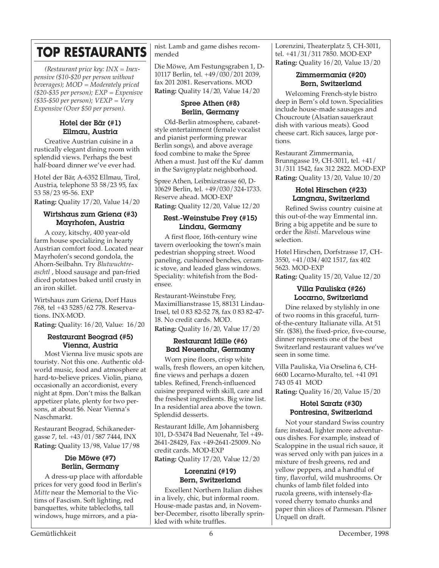## **TOP RESTAURANTS**

*(Restaurant price key: INX = Inexpensive (\$10-\$20 per person without beverages); MOD = Moderately priced (\$20-\$35 per person); EXP = Expenisve (\$35-\$50 per person); VEXP = Very Expensive (Over \$50 per person).*

#### Hotel der Bär (#1) Ellmau, Austria

Creative Austrian cuisine in a rustically elegant dining room with splendid views. Perhaps the best half-board dinner we've ever had.

Hotel der Bär, A-6352 Ellmau, Tirol, Austria, telephone 53 58/23 95, fax 53 58/23 95-56. EXP

**Rating:** Quality 17/20, Value 14/20

#### Wirtshaus zum Griena (#3) Mayrhofen, Austria

A cozy, kitschy, 400 year-old farm house specializing in hearty Austrian comfort food. Located near Mayrhofen's second gondola, the Ahorn-Seilbahn. Try *Blutwuchtreaschtl* , blood sausage and pan-fried diced potatoes baked until crusty in an iron skillet.

Wirtshaus zum Griena, Dorf Haus 768, tel +43 5285/62 778. Reservations. INX-MOD.

**Rating:** Quality: 16/20, Value: 16/20

#### Restaurant Beograd (#5) Vienna, Austria

Most Vienna live music spots are touristy. Not this one. Authentic oldworld music, food and atmosphere at hard-to-believe prices. Violin, piano, occasionally an accordionist, every night at 8pm. Don't miss the Balkan appetizer plate, plenty for two persons, at about \$6. Near Vienna's Naschmarkt.

Restaurant Beograd, Schikanedergasse 7, tel. +43/01/587 7444, INX **Rating:** Quality 13/98, Value 17/98

#### Die Möwe (#7) Berlin, Germany

A dress-up place with affordable prices for very good food in Berlin's *Mitte* near the Memorial to the Victims of Fascism. Soft lighting, red banquettes, white tablecloths, tall windows, huge mirrors, and a pianist. Lamb and game dishes recommended

Die Möwe, Am Festungsgraben 1, D-10117 Berlin, tel. +49/030/201 2039, fax 201 2081. Reservations. MOD **Rating:** Quality 14/20, Value 14/20

#### Spree Athen (#8) Berlin, Germany

Old-Berlin atmosphere, cabaretstyle entertainment (female vocalist and pianist performing prewar Berlin songs), and above average food combine to make the Spree Athen a must. Just off the Ku' damm in the Savignyplatz neighborhood.

Spree Athen, Leibnizstrasse 60, D-10629 Berlin, tel. +49/030/324-1733. Reserve ahead. MOD-EXP **Rating:** Quality 12/20, Value 12/20

#### Rest.-Weinstube Frey (#15) Lindau, Germany

A first floor, 16th-century wine tavern overlooking the town's main pedestrian shopping street. Wood paneling, cushioned benches, ceramic stove, and leaded glass windows. Speciality: whitefish from the Bodensee.

Restaurant-Weinstube Frey, Maximillianstrasse 15, 88131 Lindau-Insel, tel 0 83 82-52 78, fax 0 83 82-47- 18. No credit cards. MOD. **Rating: Ouality 16/20, Value 17/20** 

#### Restaurant Idille (#6) Bad Neuenahr, Germany

Worn pine floors, crisp white walls, fresh flowers, an open kitchen, fine views and perhaps a dozen tables. Refined, French-influenced cuisine prepared with skill, care and the freshest ingredients. Big wine list. In a residential area above the town. Splendid desserts.

Restaurant Idille, Am Johannisberg 101, D-53474 Bad Neuenahr, Tel +49- 2641-28429, Fax +49-2641-25009. No credit cards. MOD-EXP **Rating:** Quality 17/20, Value 12/20

#### Lorenzini (#19) Bern, Switzerland

Excellent Northern Italian dishes in a lively, chic, but informal room. House-made pastas and, in November-December, risotto liberally sprinkled with white truffles.

Lorenzini, Theaterplatz 5, CH-3011, tel. +41/31/311 7850. MOD-EXP **Rating:** Quality 16/20, Value 13/20

#### Zimmermania (#20) Bern, Switzerland

Welcoming French-style bistro deep in Bern's old town. Specialities include house-made sausages and Choucroute (Alsatian sauerkraut dish with various meats). Good cheese cart. Rich sauces, large portions.

Restaurant Zimmermania, Brunngasse 19, CH-3011, tel. +41/ 31/311 1542, fax 312 2822. MOD-EXP **Rating:** Quality 13/20, Value 10/20

#### Hotel Hirschen (#23) Langnau, Switzerland

Refined Swiss country cuisine at this out-of-the way Emmental inn. Bring a big appetite and be sure to order the *Rösti*. Marvelous wine selection.

Hotel Hirschen, Dorfstrasse 17, CH-3550, +41/034/402 1517, fax 402 5623. MOD-EXP

**Rating:** Quality 15/20, Value 12/20

#### Villa Pauliska (#26) Locarno, Switzerland

Dine relaxed by stylishly in one of two rooms in this graceful, turnof-the-century Italianate villa. At 51 Sfr. (\$38), the fixed-price, five-course, dinner represents one of the best Switzerland restaurant values we've seen in some time.

Villa Pauliska, Via Orselina 6, CH-6600 Locarno-Muralto, tel. +41 091 743 05 41 MOD

**Rating:** Quality 16/20, Value 15/20

#### Hotel Saratz (#30) Pontresina, Switzerland

Not your standard Swiss country fare; instead, lighter more adventurous dishes. For example, instead of Scaloppine in the usual rich sauce, it was served only with pan juices in a mixture of fresh greens, red and yellow peppers, and a handful of tiny, flavorful, wild mushrooms. Or chunks of lamb filet folded into rucola greens, with intensely-flavored cherry tomato chunks and paper thin slices of Parmesan. Pilsner Urquell on draft.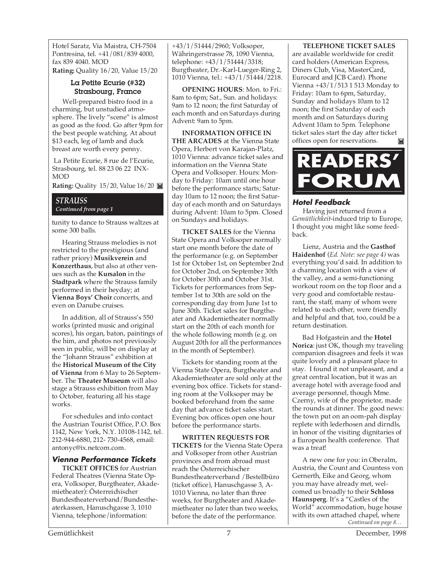Hotel Saratz, Via Maistra, CH-7504 Pontresina, tel. +41/081/839 4000, fax 839 4040. MOD

**Rating:** Quality 16/20, Value 15/20

#### La Petite Ecurie (#32) Strasbourg, France

Well-prepared bistro food in a charming, but unstudied atmosphere. The lively "scene" is almost as good as the food. Go after 9pm for the best people watching. At about \$13 each, leg of lamb and duck breast are worth every penny.

 La Petite Ecurie, 8 rue de l'Ecurie, Strasbourg, tel. 88 23 06 22 INX-MOD

**Rating:** Quality 15/20, Value 16/20

#### *STRAUSS Continued from page 1*

some 300 balls.

tunity to dance to Strauss waltzes at

Hearing Strauss melodies is not restricted to the prestigious (and rather pricey) **Musikverein** and **Konzerthaus**, but also at other venues such as the **Kursalon** in the **Stadtpark** where the Strauss family performed in their heyday; at **Vienna Boys' Choir** concerts, and even on Danube cruises.

In addition, all of Strauss's 550 works (printed music and original scores), his organ, baton, paintings of the him, and photos not previously seen in public, will be on display at the "Johann Strauss" exhibition at the **Historical Museum of the City of Vienna** from 6 May to 26 September. The **Theater Museum** will also stage a Strauss exhibition from May to October, featuring all his stage works.

For schedules and info contact the Austrian Tourist Office, P.O. Box 1142, New York, N.Y. 10108-1142, tel. 212-944-6880, 212- 730-4568, email: antonyc@ix.netcom.com.

#### **Vienna Performance Tickets**

**TICKET OFFICES** for Austrian Federal Theatres (Vienna State Opera, Volksoper, Burgtheater, Akademietheater): Österreichischer Bundestheaterverband/Bundestheaterkassen, Hanuschgasse 3, 1010 Vienna, telephone/information:

+43/1/51444/2960; Volksoper, Währingerstrasse 78, 1090 Vienna, telephone: +43/1/51444/3318; Burgtheater, Dr.-Karl-Lueger-Ring 2, 1010 Vienna, tel.: +43/1/51444/2218.

**OPENING HOURS**: Mon. to Fri.: 8am to 6pm; Sat., Sun. and holidays: 9am to 12 noon; the first Saturday of each month and on Saturdays during Advent: 9am to 5pm.

**INFORMATION OFFICE IN THE ARCADES** at the Vienna State Opera, Herbert von Karajan-Platz, 1010 Vienna: advance ticket sales and information on the Vienna State Opera and Volksoper. Hours: Monday to Friday: 10am until one hour before the performance starts; Saturday 10am to 12 noon; the first Saturday of each month and on Saturdays during Advent: 10am to 5pm. Closed on Sundays and holidays.

**TICKET SALES** for the Vienna State Opera and Volksoper normally start one month before the date of the performance (e.g. on September 1st for October 1st, on September 2nd for October 2nd, on September 30th for October 30th and October 31st. Tickets for performances from September 1st to 30th are sold on the corresponding day from June 1st to June 30th. Ticket sales for Burgtheater and Akademietheater normally start on the 20th of each month for the whole following month (e.g. on August 20th for all the performances in the month of September).

Tickets for standing room at the Vienna State Opera, Burgtheater and Akademietheater are sold only at the evening box office. Tickets for standing room at the Volksoper may be booked beforehand from the same day that advance ticket sales start. Evening box offices open one hour before the performance starts.

**WRITTEN REQUESTS FOR TICKETS** for the Vienna State Opera and Volksoper from other Austrian provinces and from abroad must reach the Österreichischer Bundestheaterverband /Bestellbüro (ticket office), Hanuschgasse 3, A-1010 Vienna, no later than three weeks, for Burgtheater and Akademietheater no later than two weeks, before the date of the performance.

#### **TELEPHONE TICKET SALES**

are available worldwide for credit card holders (American Express, Diners Club, Visa, MasterCard, Eurocard and JCB Card). Phone Vienna +43/1/513 1 513 Monday to Friday: 10am to 6pm, Saturday, Sunday and holidays 10am to 12 noon; the first Saturday of each month and on Saturdays during Advent 10am to 5pm. Telephone ticket sales start the day after ticket offices open for reservations.M



#### **Hotel Feedback**

Having just returned from a *Gemütlichkeit*-induced trip to Europe, I thought you might like some feedback.

Lienz, Austria and the **Gasthof Haidenhof** (*Ed. Note: see page 4)* was everything you'd said. In addition to a charming location with a view of the valley, and a semi-functioning workout room on the top floor and a very good and comfortable restaurant, the staff, many of whom were related to each other, were friendly and helpful and that, too, could be a return destination.

Bad Hofgastein and the **Hotel Norica**: just OK, though my traveling companion disagrees and feels it was quite lovely and a pleasant place to stay. I found it not unpleasant, and a great central location, but it was an average hotel with average food and average personnel, though Mme. Czerny, wife of the proprietor, made the rounds at dinner. The good news: the town put on an oom-pah display replete with lederhosen and dirndls, in honor of the visiting dignitaries of a European health conference. That was a treat!

*Continued on page 8…* A new one for you: in Oberalm, Austria, the Count and Countess von Gernerth, Eike and Georg, whom you may have already met, welcomed us broadly to their **Schloss Haunsperg**. It's a "Castles of the World" accommodation, huge house with its own attached chapel, where